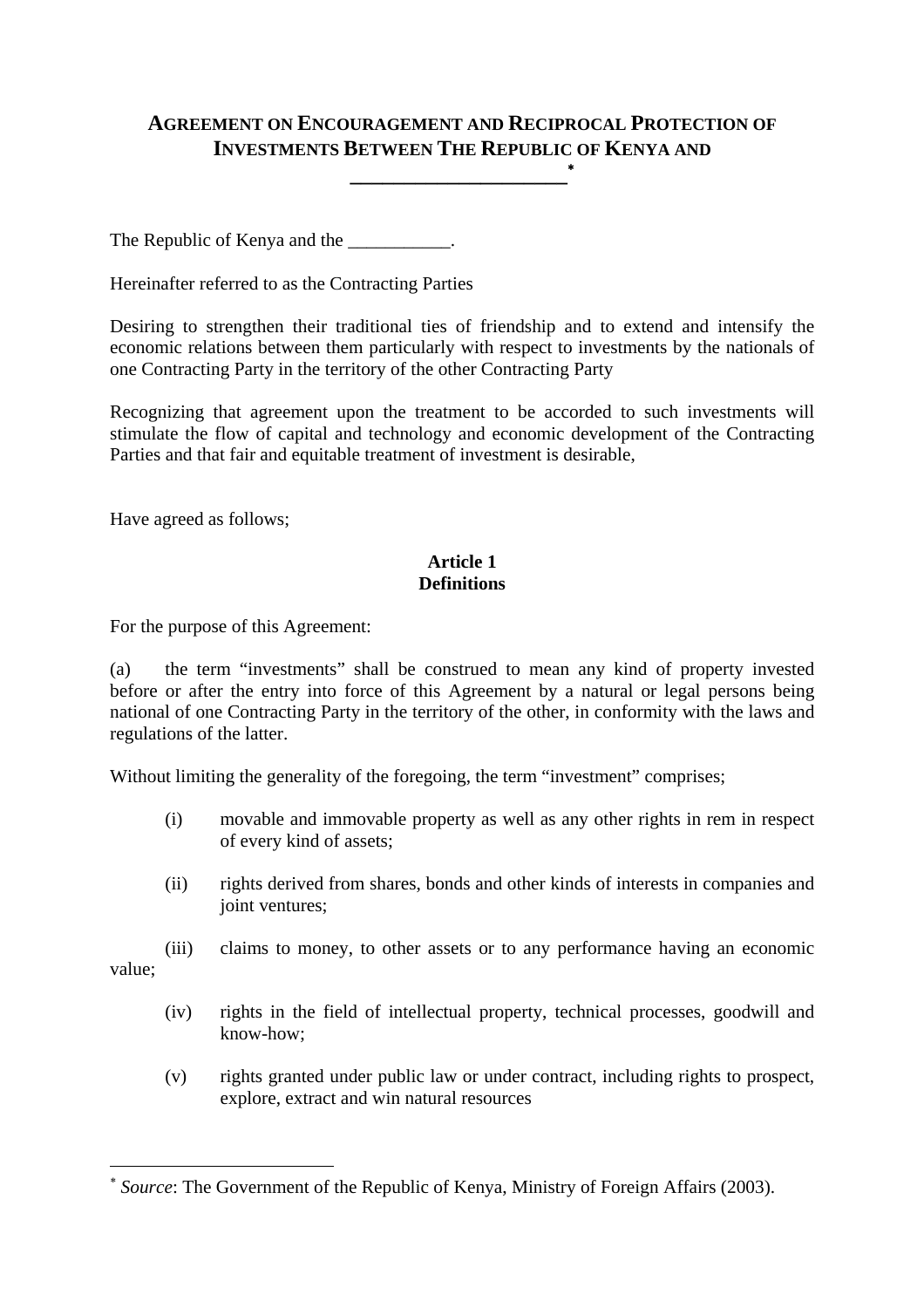# **AGREEMENT ON ENCOURAGEMENT AND RECIPROCAL PROTECTION OF INVESTMENTS BETWEEN THE REPUBLIC OF KENYA AND**

**∗**<br>——————————————————————————

The Republic of Kenya and the \_\_\_\_\_\_\_\_\_\_.

Hereinafter referred to as the Contracting Parties

Desiring to strengthen their traditional ties of friendship and to extend and intensify the economic relations between them particularly with respect to investments by the nationals of one Contracting Party in the territory of the other Contracting Party

Recognizing that agreement upon the treatment to be accorded to such investments will stimulate the flow of capital and technology and economic development of the Contracting Parties and that fair and equitable treatment of investment is desirable,

Have agreed as follows;

1

# **Article 1 Definitions**

For the purpose of this Agreement:

(a) the term "investments" shall be construed to mean any kind of property invested before or after the entry into force of this Agreement by a natural or legal persons being national of one Contracting Party in the territory of the other, in conformity with the laws and regulations of the latter.

Without limiting the generality of the foregoing, the term "investment" comprises;

- (i) movable and immovable property as well as any other rights in rem in respect of every kind of assets;
- (ii) rights derived from shares, bonds and other kinds of interests in companies and joint ventures;
- (iii) claims to money, to other assets or to any performance having an economic value;
	- (iv) rights in the field of intellectual property, technical processes, goodwill and know-how;
	- (v) rights granted under public law or under contract, including rights to prospect, explore, extract and win natural resources

<sup>∗</sup> *Source*: The Government of the Republic of Kenya, Ministry of Foreign Affairs (2003).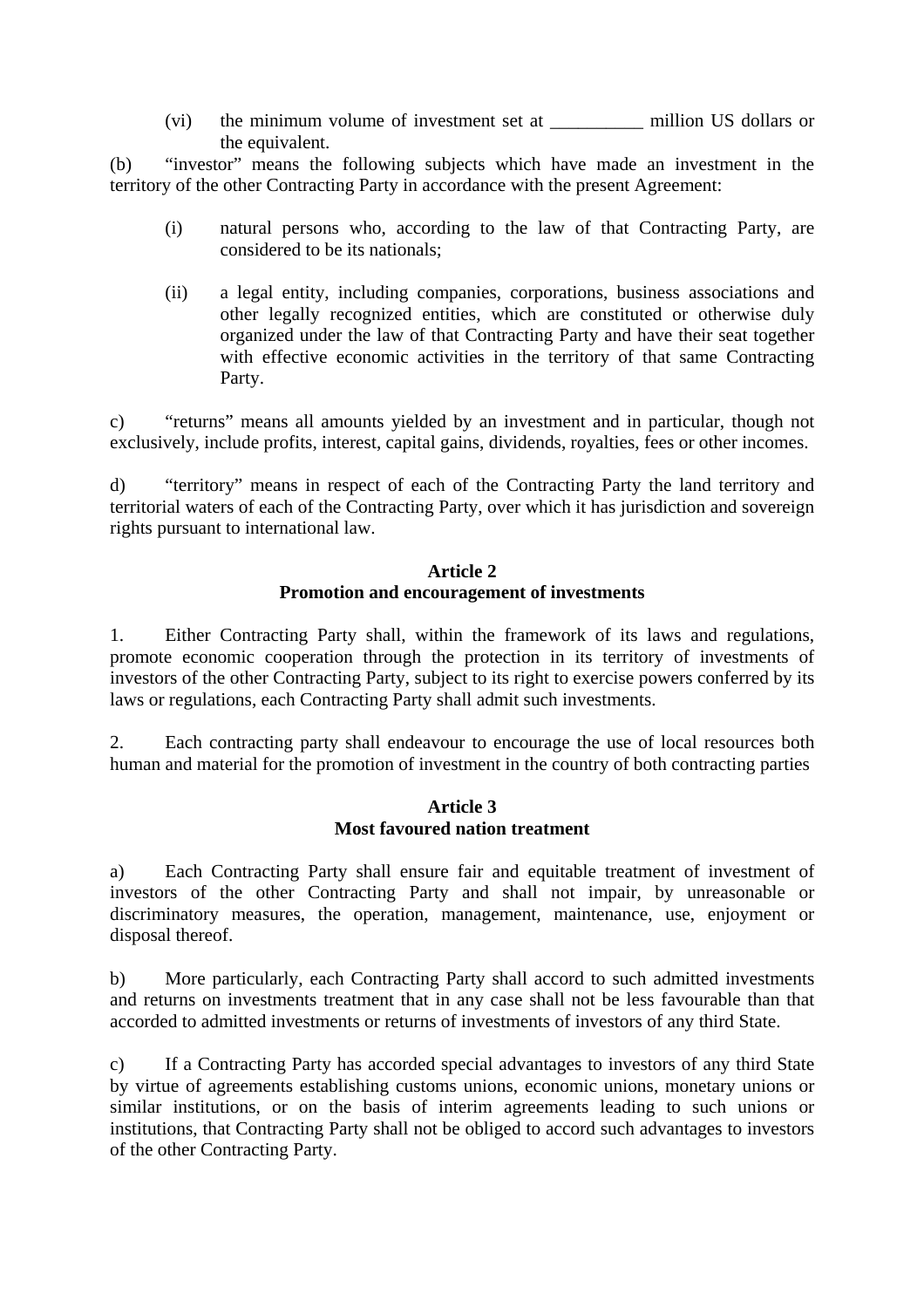(vi) the minimum volume of investment set at \_\_\_\_\_\_\_\_\_\_ million US dollars or the equivalent.

(b) "investor" means the following subjects which have made an investment in the territory of the other Contracting Party in accordance with the present Agreement:

- (i) natural persons who, according to the law of that Contracting Party, are considered to be its nationals;
- (ii) a legal entity, including companies, corporations, business associations and other legally recognized entities, which are constituted or otherwise duly organized under the law of that Contracting Party and have their seat together with effective economic activities in the territory of that same Contracting Party.

c) "returns" means all amounts yielded by an investment and in particular, though not exclusively, include profits, interest, capital gains, dividends, royalties, fees or other incomes.

d) "territory" means in respect of each of the Contracting Party the land territory and territorial waters of each of the Contracting Party, over which it has jurisdiction and sovereign rights pursuant to international law.

#### **Article 2 Promotion and encouragement of investments**

1. Either Contracting Party shall, within the framework of its laws and regulations, promote economic cooperation through the protection in its territory of investments of investors of the other Contracting Party, subject to its right to exercise powers conferred by its laws or regulations, each Contracting Party shall admit such investments.

2. Each contracting party shall endeavour to encourage the use of local resources both human and material for the promotion of investment in the country of both contracting parties

#### **Article 3 Most favoured nation treatment**

a) Each Contracting Party shall ensure fair and equitable treatment of investment of investors of the other Contracting Party and shall not impair, by unreasonable or discriminatory measures, the operation, management, maintenance, use, enjoyment or disposal thereof.

b) More particularly, each Contracting Party shall accord to such admitted investments and returns on investments treatment that in any case shall not be less favourable than that accorded to admitted investments or returns of investments of investors of any third State.

c) If a Contracting Party has accorded special advantages to investors of any third State by virtue of agreements establishing customs unions, economic unions, monetary unions or similar institutions, or on the basis of interim agreements leading to such unions or institutions, that Contracting Party shall not be obliged to accord such advantages to investors of the other Contracting Party.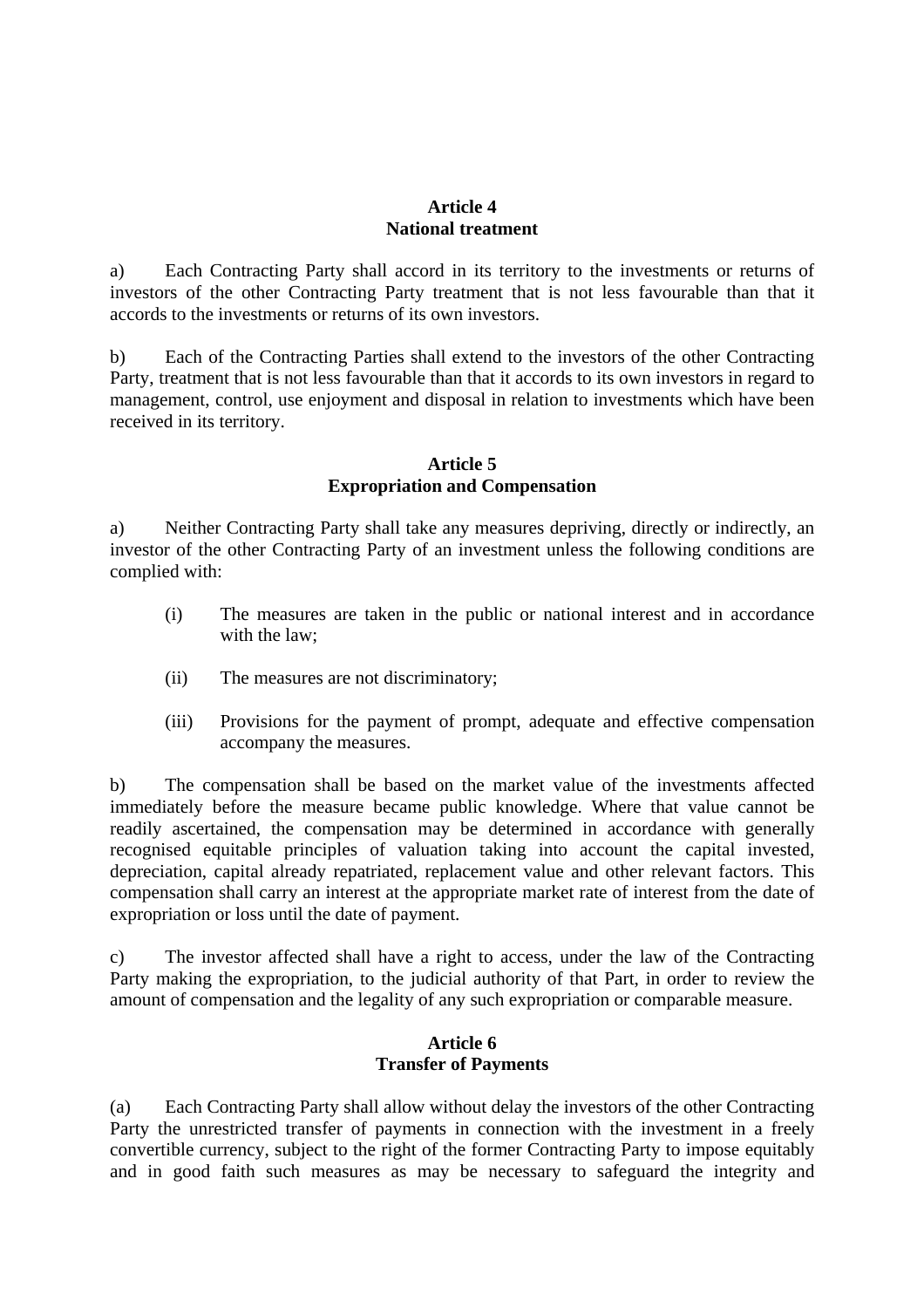#### **Article 4 National treatment**

a) Each Contracting Party shall accord in its territory to the investments or returns of investors of the other Contracting Party treatment that is not less favourable than that it accords to the investments or returns of its own investors.

b) Each of the Contracting Parties shall extend to the investors of the other Contracting Party, treatment that is not less favourable than that it accords to its own investors in regard to management, control, use enjoyment and disposal in relation to investments which have been received in its territory.

# **Article 5 Expropriation and Compensation**

a) Neither Contracting Party shall take any measures depriving, directly or indirectly, an investor of the other Contracting Party of an investment unless the following conditions are complied with:

- (i) The measures are taken in the public or national interest and in accordance with the law;
- (ii) The measures are not discriminatory;
- (iii) Provisions for the payment of prompt, adequate and effective compensation accompany the measures.

b) The compensation shall be based on the market value of the investments affected immediately before the measure became public knowledge. Where that value cannot be readily ascertained, the compensation may be determined in accordance with generally recognised equitable principles of valuation taking into account the capital invested, depreciation, capital already repatriated, replacement value and other relevant factors. This compensation shall carry an interest at the appropriate market rate of interest from the date of expropriation or loss until the date of payment.

c) The investor affected shall have a right to access, under the law of the Contracting Party making the expropriation, to the judicial authority of that Part, in order to review the amount of compensation and the legality of any such expropriation or comparable measure.

#### **Article 6 Transfer of Payments**

(a) Each Contracting Party shall allow without delay the investors of the other Contracting Party the unrestricted transfer of payments in connection with the investment in a freely convertible currency, subject to the right of the former Contracting Party to impose equitably and in good faith such measures as may be necessary to safeguard the integrity and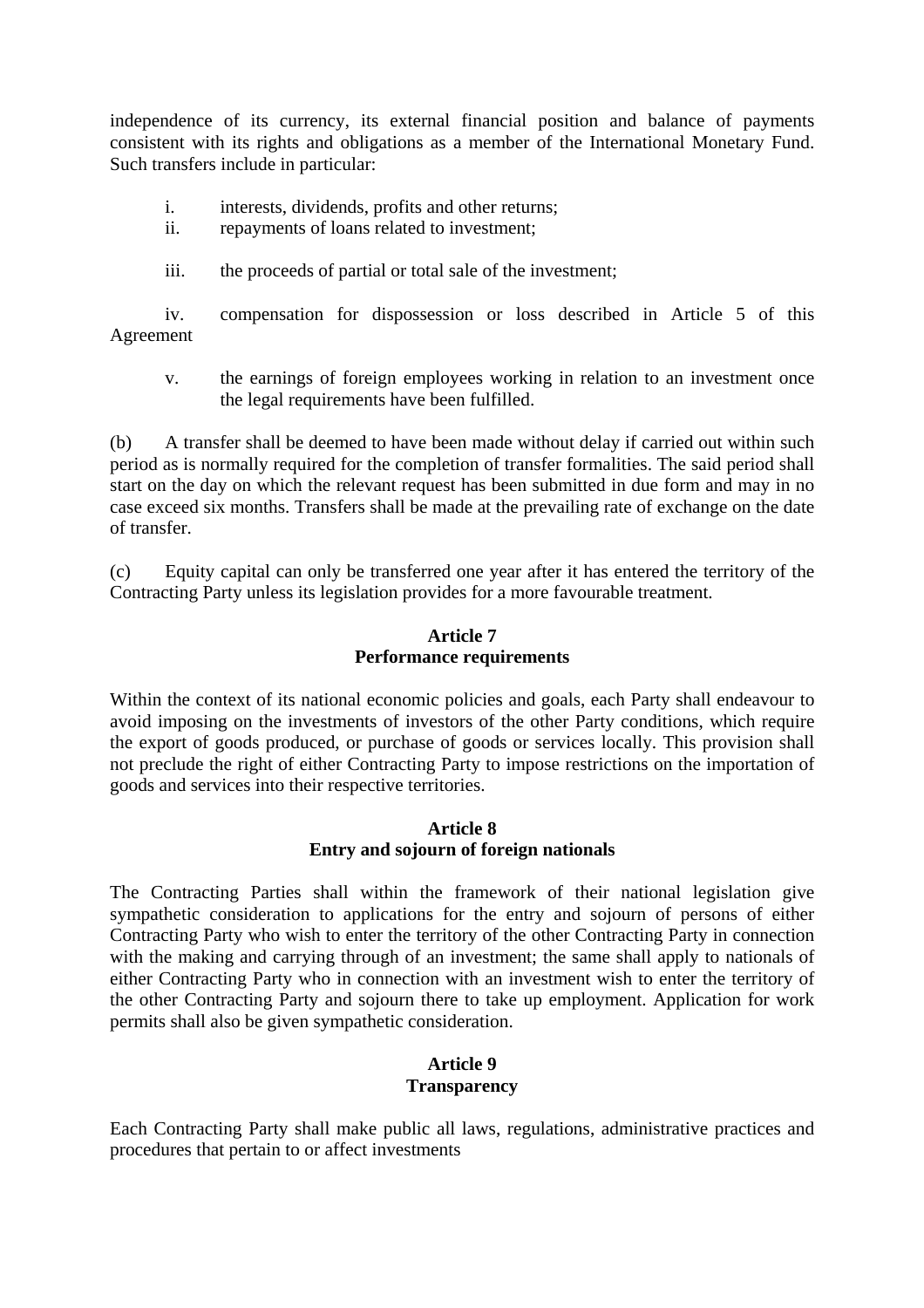independence of its currency, its external financial position and balance of payments consistent with its rights and obligations as a member of the International Monetary Fund. Such transfers include in particular:

- i. interests, dividends, profits and other returns;
- ii. repayments of loans related to investment;
- iii. the proceeds of partial or total sale of the investment;

 iv. compensation for dispossession or loss described in Article 5 of this Agreement

 v. the earnings of foreign employees working in relation to an investment once the legal requirements have been fulfilled.

(b) A transfer shall be deemed to have been made without delay if carried out within such period as is normally required for the completion of transfer formalities. The said period shall start on the day on which the relevant request has been submitted in due form and may in no case exceed six months. Transfers shall be made at the prevailing rate of exchange on the date of transfer.

(c) Equity capital can only be transferred one year after it has entered the territory of the Contracting Party unless its legislation provides for a more favourable treatment.

# **Article 7 Performance requirements**

Within the context of its national economic policies and goals, each Party shall endeavour to avoid imposing on the investments of investors of the other Party conditions, which require the export of goods produced, or purchase of goods or services locally. This provision shall not preclude the right of either Contracting Party to impose restrictions on the importation of goods and services into their respective territories.

#### **Article 8 Entry and sojourn of foreign nationals**

The Contracting Parties shall within the framework of their national legislation give sympathetic consideration to applications for the entry and sojourn of persons of either Contracting Party who wish to enter the territory of the other Contracting Party in connection with the making and carrying through of an investment; the same shall apply to nationals of either Contracting Party who in connection with an investment wish to enter the territory of the other Contracting Party and sojourn there to take up employment. Application for work permits shall also be given sympathetic consideration.

# **Article 9 Transparency**

Each Contracting Party shall make public all laws, regulations, administrative practices and procedures that pertain to or affect investments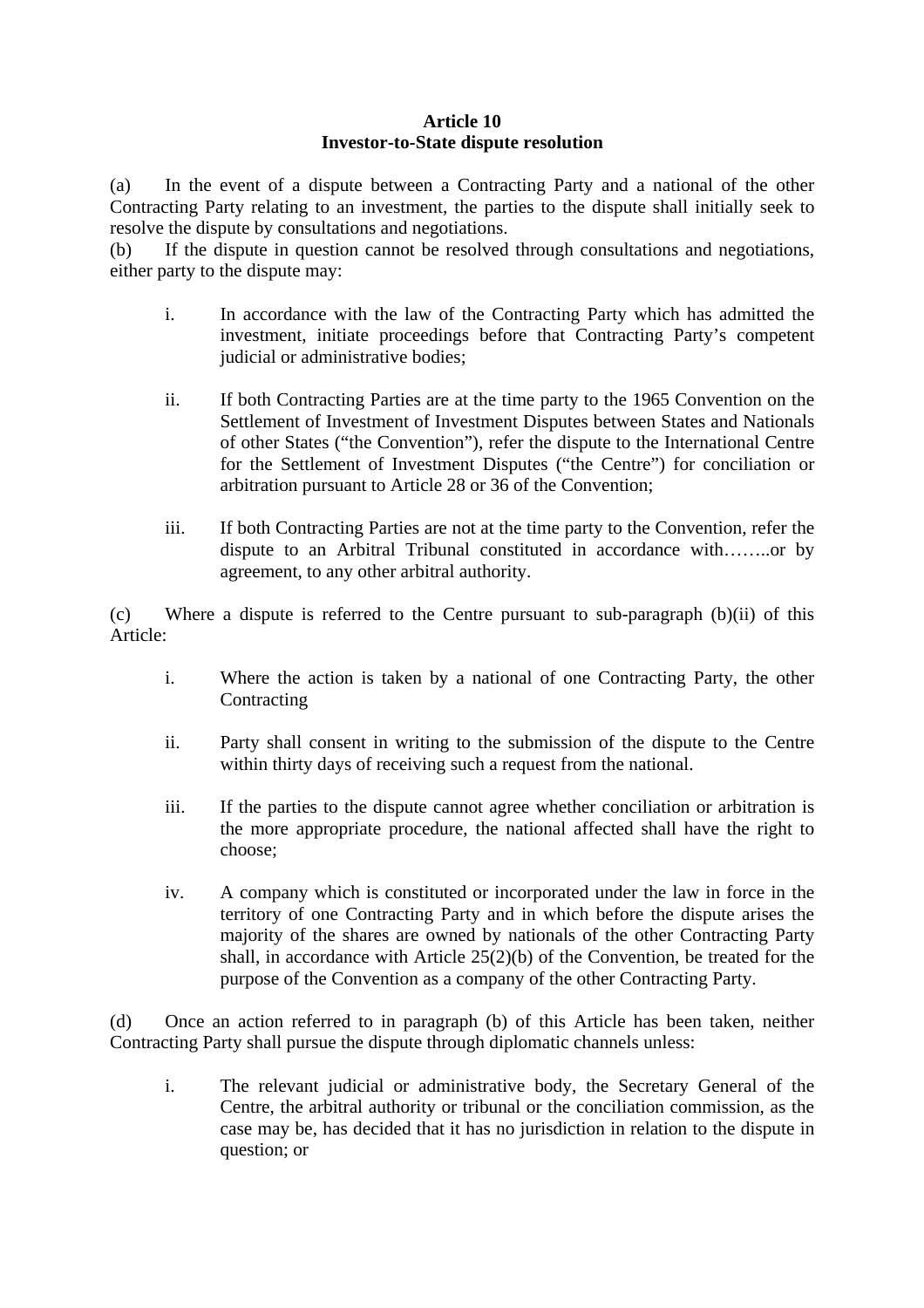# **Article 10 Investor-to-State dispute resolution**

(a) In the event of a dispute between a Contracting Party and a national of the other Contracting Party relating to an investment, the parties to the dispute shall initially seek to resolve the dispute by consultations and negotiations.

(b) If the dispute in question cannot be resolved through consultations and negotiations, either party to the dispute may:

- i. In accordance with the law of the Contracting Party which has admitted the investment, initiate proceedings before that Contracting Party's competent judicial or administrative bodies;
- ii. If both Contracting Parties are at the time party to the 1965 Convention on the Settlement of Investment of Investment Disputes between States and Nationals of other States ("the Convention"), refer the dispute to the International Centre for the Settlement of Investment Disputes ("the Centre") for conciliation or arbitration pursuant to Article 28 or 36 of the Convention;
- iii. If both Contracting Parties are not at the time party to the Convention, refer the dispute to an Arbitral Tribunal constituted in accordance with……..or by agreement, to any other arbitral authority.

(c) Where a dispute is referred to the Centre pursuant to sub-paragraph (b)(ii) of this Article:

- i. Where the action is taken by a national of one Contracting Party, the other **Contracting**
- ii. Party shall consent in writing to the submission of the dispute to the Centre within thirty days of receiving such a request from the national.
- iii. If the parties to the dispute cannot agree whether conciliation or arbitration is the more appropriate procedure, the national affected shall have the right to choose;
- iv. A company which is constituted or incorporated under the law in force in the territory of one Contracting Party and in which before the dispute arises the majority of the shares are owned by nationals of the other Contracting Party shall, in accordance with Article 25(2)(b) of the Convention, be treated for the purpose of the Convention as a company of the other Contracting Party.

(d) Once an action referred to in paragraph (b) of this Article has been taken, neither Contracting Party shall pursue the dispute through diplomatic channels unless:

 i. The relevant judicial or administrative body, the Secretary General of the Centre, the arbitral authority or tribunal or the conciliation commission, as the case may be, has decided that it has no jurisdiction in relation to the dispute in question; or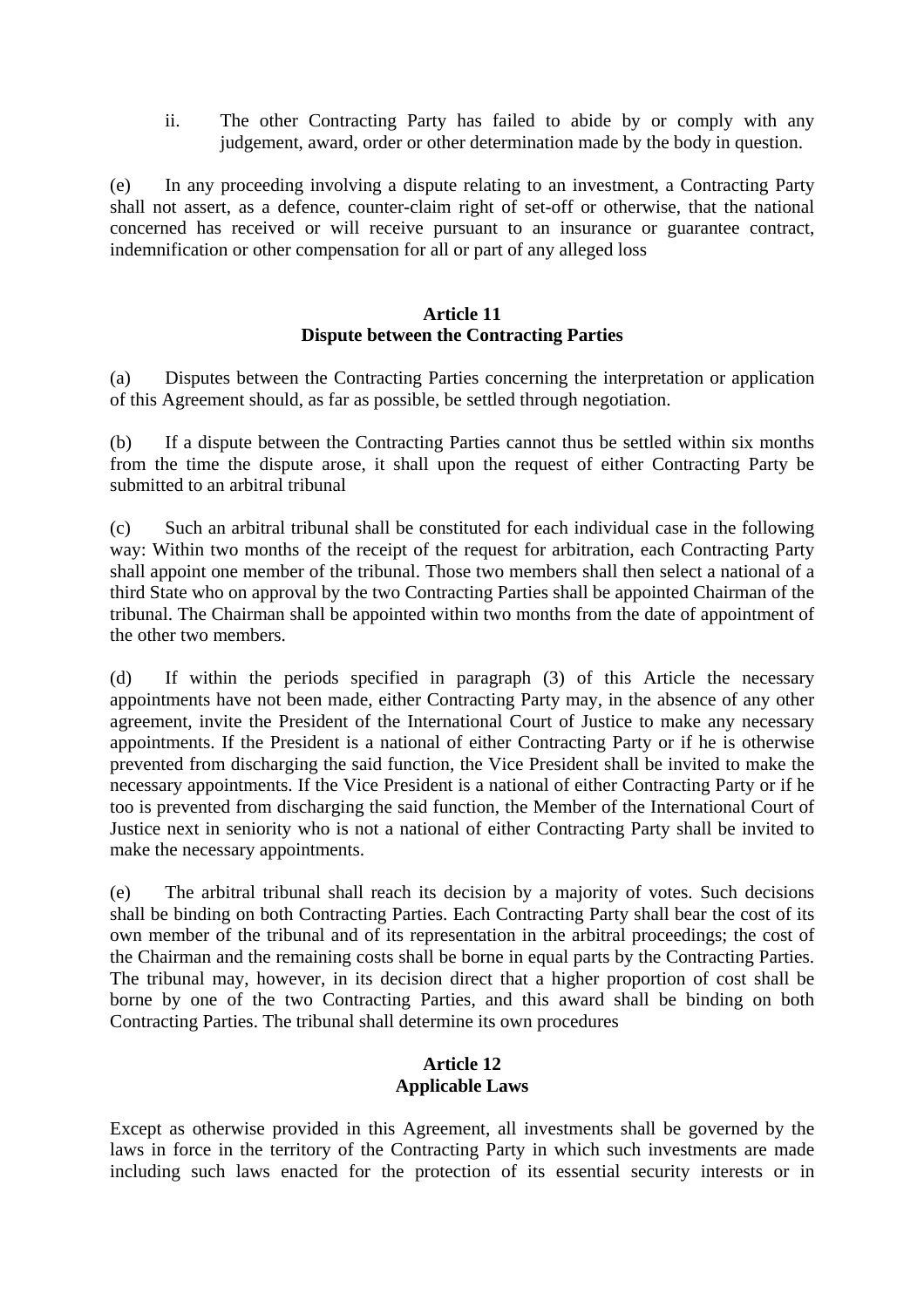ii. The other Contracting Party has failed to abide by or comply with any judgement, award, order or other determination made by the body in question.

(e) In any proceeding involving a dispute relating to an investment, a Contracting Party shall not assert, as a defence, counter-claim right of set-off or otherwise, that the national concerned has received or will receive pursuant to an insurance or guarantee contract, indemnification or other compensation for all or part of any alleged loss

#### **Article 11 Dispute between the Contracting Parties**

(a) Disputes between the Contracting Parties concerning the interpretation or application of this Agreement should, as far as possible, be settled through negotiation.

(b) If a dispute between the Contracting Parties cannot thus be settled within six months from the time the dispute arose, it shall upon the request of either Contracting Party be submitted to an arbitral tribunal

(c) Such an arbitral tribunal shall be constituted for each individual case in the following way: Within two months of the receipt of the request for arbitration, each Contracting Party shall appoint one member of the tribunal. Those two members shall then select a national of a third State who on approval by the two Contracting Parties shall be appointed Chairman of the tribunal. The Chairman shall be appointed within two months from the date of appointment of the other two members.

(d) If within the periods specified in paragraph (3) of this Article the necessary appointments have not been made, either Contracting Party may, in the absence of any other agreement, invite the President of the International Court of Justice to make any necessary appointments. If the President is a national of either Contracting Party or if he is otherwise prevented from discharging the said function, the Vice President shall be invited to make the necessary appointments. If the Vice President is a national of either Contracting Party or if he too is prevented from discharging the said function, the Member of the International Court of Justice next in seniority who is not a national of either Contracting Party shall be invited to make the necessary appointments.

(e) The arbitral tribunal shall reach its decision by a majority of votes. Such decisions shall be binding on both Contracting Parties. Each Contracting Party shall bear the cost of its own member of the tribunal and of its representation in the arbitral proceedings; the cost of the Chairman and the remaining costs shall be borne in equal parts by the Contracting Parties. The tribunal may, however, in its decision direct that a higher proportion of cost shall be borne by one of the two Contracting Parties, and this award shall be binding on both Contracting Parties. The tribunal shall determine its own procedures

# **Article 12 Applicable Laws**

Except as otherwise provided in this Agreement, all investments shall be governed by the laws in force in the territory of the Contracting Party in which such investments are made including such laws enacted for the protection of its essential security interests or in